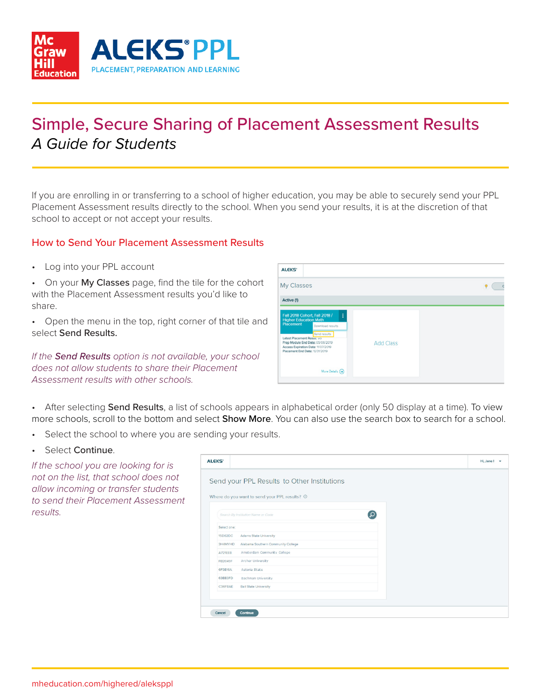

# Simple, Secure Sharing of Placement Assessment Results *A Guide for Students*

If you are enrolling in or transferring to a school of higher education, you may be able to securely send your PPL Placement Assessment results directly to the school. When you send your results, it is at the discretion of that school to accept or not accept your results.

## How to Send Your Placement Assessment Results

• Log into your PPL account

• On your My Classes page, find the tile for the cohort with the Placement Assessment results you'd like to share.

• Open the menu in the top, right corner of that tile and select Send Results.

*If the Send Results option is not available, your school does not allow students to share their Placement Assessment results with other schools.* 

| <b>ALEKS'</b>                                                                                                                                                                                                                                                         |                  |  |
|-----------------------------------------------------------------------------------------------------------------------------------------------------------------------------------------------------------------------------------------------------------------------|------------------|--|
| My Classes                                                                                                                                                                                                                                                            |                  |  |
| Active (1)                                                                                                                                                                                                                                                            |                  |  |
| Fall 2018 Cohort, Fall 2018 /<br>ŧ<br><b>Higher Education Math</b><br><b>Placement</b><br>Download results<br>Send results<br>Latest Placement Resure: yo<br>Prep Module End Date: 05/06/2019<br>Access Expiration Date: 11/07/2019<br>Placement End Date: 12/31/2019 | <b>Add Class</b> |  |
| More Details (+)                                                                                                                                                                                                                                                      |                  |  |

• After selecting Send Results, a list of schools appears in alphabetical order (only 50 display at a time). To view more schools, scroll to the bottom and select **Show More**. You can also use the search box to search for a school.

- Select the school to where you are sending your results.
- Select Continue.

*If the school you are looking for is not on the list, that school does not allow incoming or transfer students to send their Placement Assessment results.* 

| <b>ALEKS*</b>  |                                                | Hi, Jane I |
|----------------|------------------------------------------------|------------|
|                |                                                |            |
|                | Send your PPL Results to Other Institutions    |            |
|                | Where do you want to send your PPL results? ①  |            |
|                |                                                |            |
|                | $\Omega$<br>Search By Institution Name or Code |            |
|                |                                                |            |
| Select one:    |                                                |            |
| 15D62DC        | <b>Adams State University</b>                  |            |
| 3H4MYHD        | Alabama Southern Community College             |            |
| A721EEB        | Amsterdam Community College                    |            |
| <b>FB2049F</b> | Archer University                              |            |
| 6F3B16A        | Astoria State                                  |            |
| 63BB3FD        | Bachman University                             |            |
| C36FBAE        | <b>Ball State University</b>                   |            |
|                |                                                |            |
|                |                                                |            |
|                |                                                |            |
| Cancel         | Continue                                       |            |